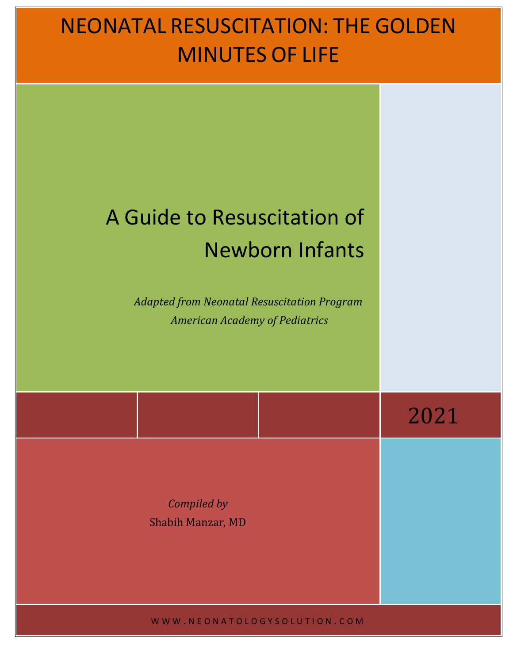# NEONATAL RESUSCITATION: THE GOLDEN MINUTES OF LIFE

# A Guide to Resuscitation of Newborn Infants

Adapted from Neonatal Resuscitation Program American Academy of Pediatrics

 2021

*Compiled by* Shabih Manzar, MD

WWW . NEONATOLOGYSOLUTION . COM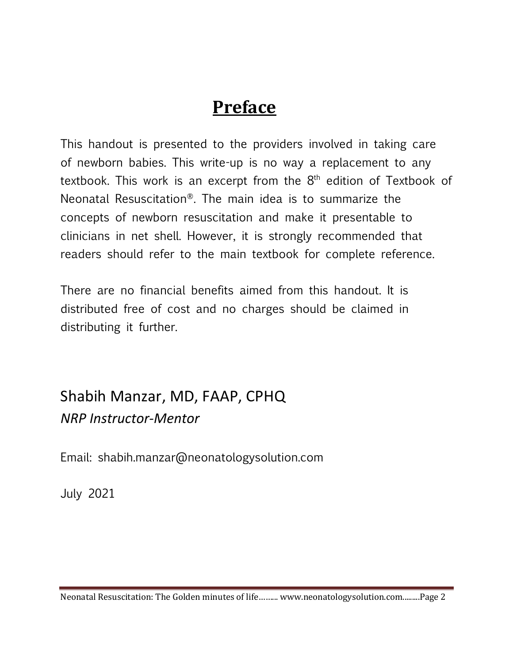# **Preface**

This handout is presented to the providers involved in taking care of newborn babies. This write-up is no way a replacement to any textbook. This work is an excerpt from the  $8<sup>th</sup>$  edition of Textbook of Neonatal Resuscitation®. The main idea is to summarize the concepts of newborn resuscitation and make it presentable to clinicians in net shell. However, it is strongly recommended that readers should refer to the main textbook for complete reference.

There are no financial benefits aimed from this handout. It is distributed free of cost and no charges should be claimed in distributing it further.

## Shabih Manzar, MD, FAAP, CPHQ *NRP Instructor-Mentor*

Email: shabih.manzar@neonatologysolution.com

July 2021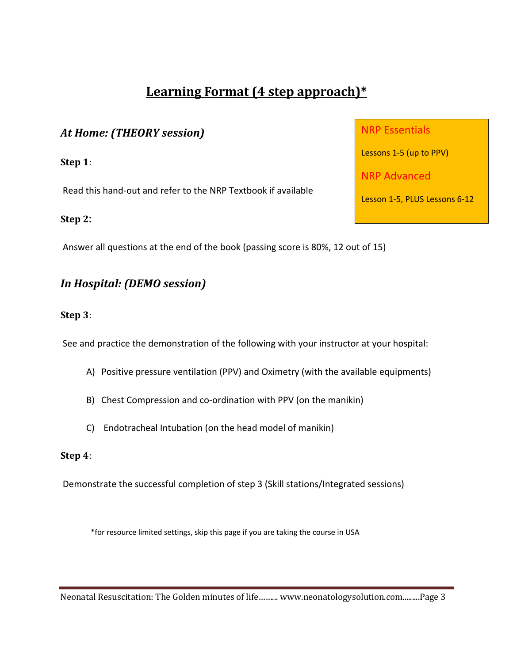#### **Learning Format (4 step approach)\***

#### *At Home: (THEORY session)*

**Step 1**:

Read this hand-out and refer to the NRP Textbook if available

#### **Step 2:**

Answer all questions at the end of the book (passing score is 80%, 12 out of 15)

#### *In Hospital: (DEMO session)*

#### **Step 3**:

See and practice the demonstration of the following with your instructor at your hospital:

- A) Positive pressure ventilation (PPV) and Oximetry (with the available equipments)
- B) Chest Compression and co-ordination with PPV (on the manikin)
- C) Endotracheal Intubation (on the head model of manikin)

#### **Step 4**:

Demonstrate the successful completion of step 3 (Skill stations/Integrated sessions)

\*for resource limited settings, skip this page if you are taking the course in USA

Neonatal Resuscitation: The Golden minutes of life......... www.neonatologysolution.com.........Page 3

NRP Essentials

Lessons 1-5 (up to PPV)

NRP Advanced

Lesson 1-5, PLUS Lessons 6-12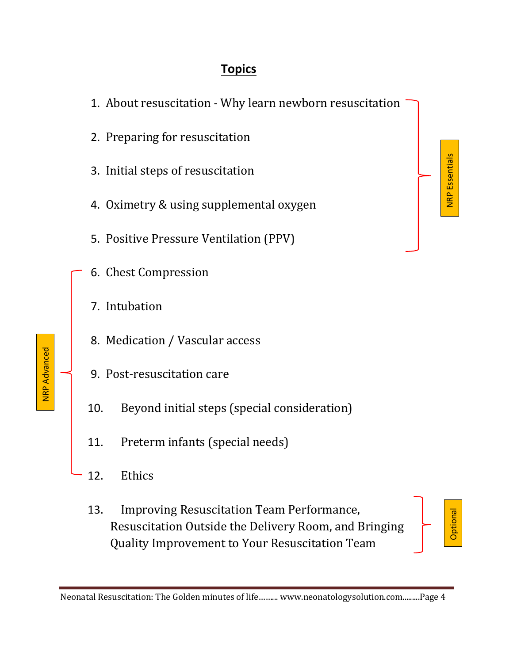#### **Topics**



- 2. Preparing for resuscitation
- 3. Initial steps of resuscitation
- 4. Oximetry & using supplemental oxygen
- 5. Positive Pressure Ventilation (PPV)
- 6. Chest Compression
- 7. Intubation
- 8. Medication / Vascular access
- 9. Post-resuscitation care
- 10. Beyond initial steps (special consideration)
- 11. Preterm infants (special needs)
- 12. Ethics
- 13. Improving Resuscitation Team Performance, Resuscitation Outside the Delivery Room, and Bringing Quality Improvement to Your Resuscitation Team



**Optional** 

**NRP** Essentials

NRP Advanced **NRP Advanced** 

Neonatal Resuscitation: The Golden minutes of life ......... www.neonatologysolution.com.........Page 4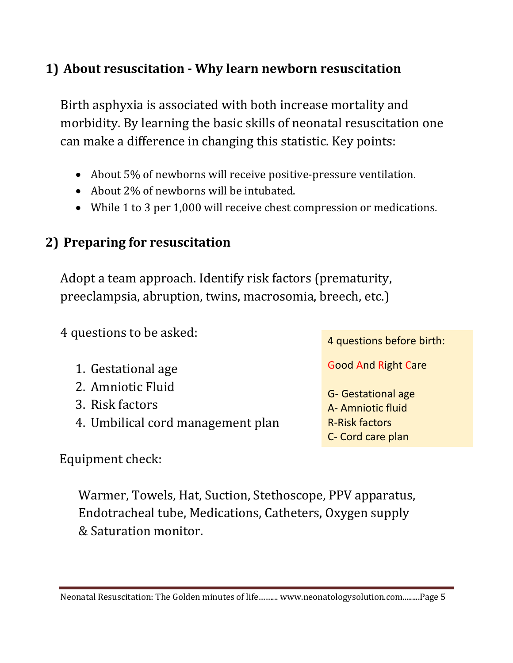#### **1)** About resuscitation - Why learn newborn resuscitation

Birth asphyxia is associated with both increase mortality and morbidity. By learning the basic skills of neonatal resuscitation one can make a difference in changing this statistic. Key points:

- About 5% of newborns will receive positive-pressure ventilation.
- About 2% of newborns will be intubated.
- While 1 to 3 per 1,000 will receive chest compression or medications.

### **2) Preparing for resuscitation**

Adopt a team approach. Identify risk factors (prematurity, preeclampsia, abruption, twins, macrosomia, breech, etc.)

4 questions to be asked: 1. Gestational age 2. Amniotic Fluid 3. Risk factors 4. Umbilical cord management plan 4 questions before birth: Good And Right Care G- Gestational age A- Amniotic fluid R-Risk factors C- Cord care plan

Equipment check:

Warmer, Towels, Hat, Suction, Stethoscope, PPV apparatus, Endotracheal tube, Medications, Catheters, Oxygen supply & Saturation monitor.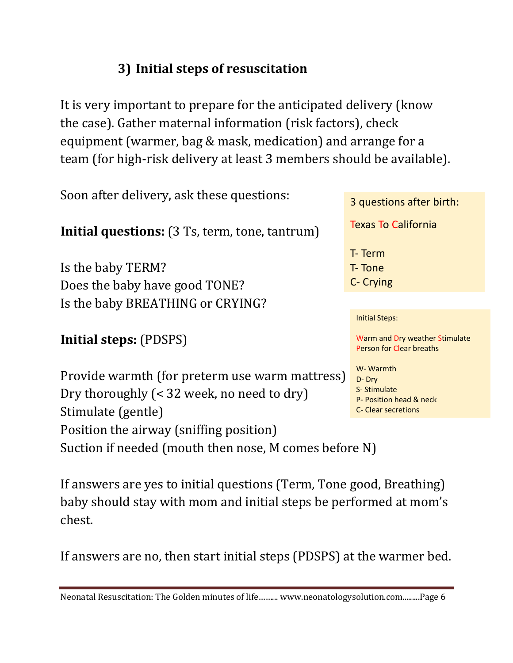### **3) Initial steps of resuscitation**

It is very important to prepare for the anticipated delivery (know the case). Gather maternal information (risk factors), check equipment (warmer, bag & mask, medication) and arrange for a team (for high-risk delivery at least 3 members should be available).

Soon after delivery, ask these questions: **Initial questions:** (3 Ts, term, tone, tantrum) Is the baby TERM? Does the baby have good TONE? Is the baby BREATHING or CRYING? **Initial steps:** (PDSPS) Provide warmth (for preterm use warm mattress) Dry thoroughly (< 32 week, no need to dry) Stimulate (gentle) Position the airway (sniffing position) Suction if needed (mouth then nose, M comes before N) 3 questions after birth: Texas To California T- Term T- Tone C- Crying Initial Steps: Warm and Dry weather Stimulate Person for Clear breaths W- Warmth D- Dry S- Stimulate P- Position head & neck C- Clear secretions

If answers are yes to initial questions (Term, Tone good, Breathing) baby should stay with mom and initial steps be performed at mom's chest.

If answers are no, then start initial steps (PDSPS) at the warmer bed.

Neonatal Resuscitation: The Golden minutes of life......... www.neonatologysolution.com..........Page 6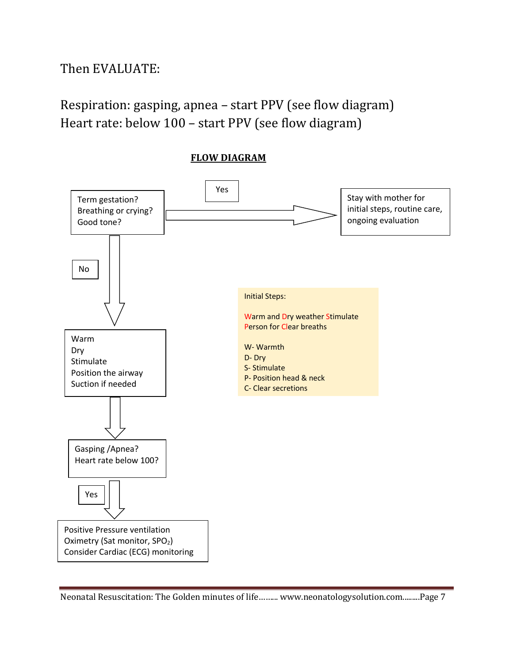Then EVALUATE:

Respiration: gasping, apnea – start PPV (see flow diagram) Heart rate: below 100 - start PPV (see flow diagram)



**FLOW DIAGRAM**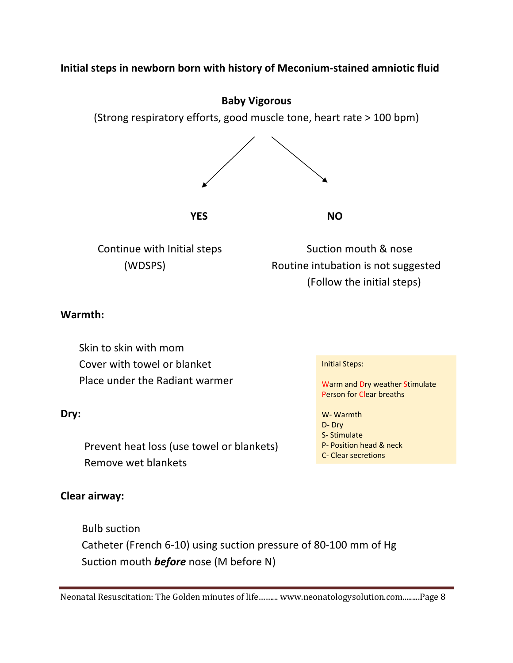#### **Initial steps in newborn born with history of Meconium-stained amniotic fluid**



S- Stimulate

P- Position head & neck C- Clear secretions

 Prevent heat loss (use towel or blankets) Remove wet blankets

#### **Clear airway:**

 Bulb suction Catheter (French 6-10) using suction pressure of 80-100 mm of Hg Suction mouth *before* nose (M before N)

Neonatal Resuscitation: The Golden minutes of life ......... www.neonatologysolution.com.........Page 8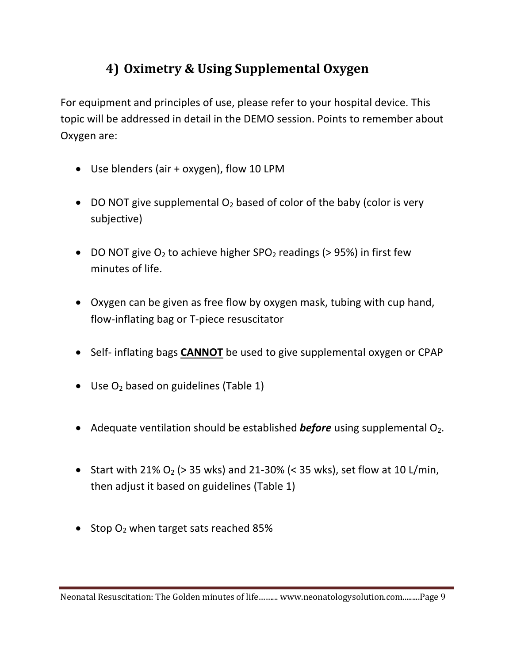### **4) Oximetry & Using Supplemental Oxygen**

For equipment and principles of use, please refer to your hospital device. This topic will be addressed in detail in the DEMO session. Points to remember about Oxygen are:

- Use blenders (air + oxygen), flow 10 LPM
- DO NOT give supplemental  $O_2$  based of color of the baby (color is very subjective)
- DO NOT give  $O_2$  to achieve higher SPO<sub>2</sub> readings (> 95%) in first few minutes of life.
- Oxygen can be given as free flow by oxygen mask, tubing with cup hand, flow-inflating bag or T-piece resuscitator
- Self- inflating bags **CANNOT** be used to give supplemental oxygen or CPAP
- Use  $O_2$  based on guidelines (Table 1)
- Adequate ventilation should be established **before** using supplemental O<sub>2</sub>.
- Start with 21% O<sub>2</sub> ( $>$  35 wks) and 21-30% ( $<$  35 wks), set flow at 10 L/min, then adjust it based on guidelines (Table 1)
- Stop  $O_2$  when target sats reached 85%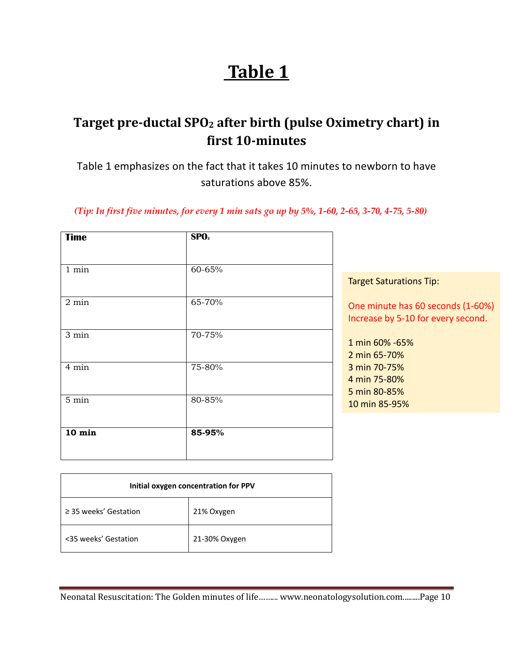# **Table 1**

#### Target pre-ductal SPO<sub>2</sub> after birth (pulse Oximetry chart) in **first 10-minutes**

Table 1 emphasizes on the fact that it takes 10 minutes to newborn to have saturations above 85%.

 *(Tip: In first five minutes, for every 1 min sats go up by 5%, 1-60, 2-65, 3-70, 4-75, 5-80)*

| 60-65% | <b>Target Saturations Tip:</b>                                          |
|--------|-------------------------------------------------------------------------|
| 65-70% | One minute has 60 seconds (1-60%)<br>Increase by 5-10 for every second. |
| 70-75% | 1 min 60% -65%<br>2 min 65-70%                                          |
| 75-80% | 3 min 70-75%<br>4 min 75-80%<br>5 min 80-85%                            |
| 80-85% | 10 min 85-95%                                                           |
| 85-95% |                                                                         |
|        |                                                                         |

| Initial oxygen concentration for PPV |               |
|--------------------------------------|---------------|
| $\geq$ 35 weeks' Gestation           | 21% Oxygen    |
| <35 weeks' Gestation                 | 21-30% Oxygen |

Neonatal Resuscitation: The Golden minutes of life ......... www.neonatologysolution.com.........Page 10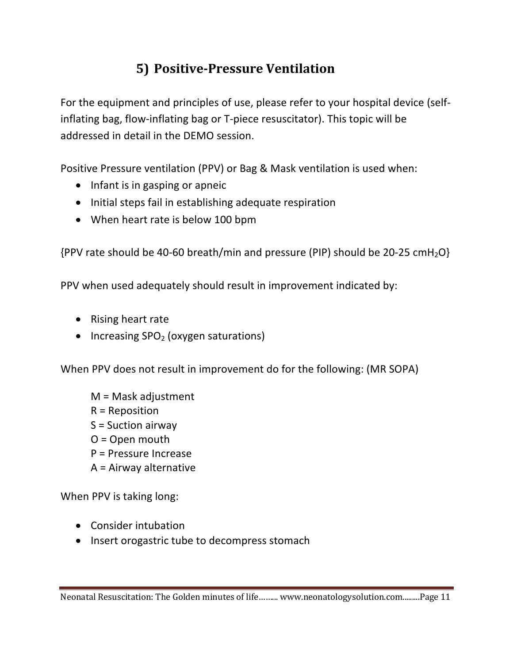### **5) Positive-Pressure Ventilation**

For the equipment and principles of use, please refer to your hospital device (selfinflating bag, flow-inflating bag or T-piece resuscitator). This topic will be addressed in detail in the DEMO session.

Positive Pressure ventilation (PPV) or Bag & Mask ventilation is used when:

- Infant is in gasping or apneic
- Initial steps fail in establishing adequate respiration
- When heart rate is below 100 bpm

 ${PPV}$  rate should be 40-60 breath/min and pressure (PIP) should be 20-25 cmH<sub>2</sub>O}

PPV when used adequately should result in improvement indicated by:

- Rising heart rate
- Increasing  $SPO<sub>2</sub>$  (oxygen saturations)

When PPV does not result in improvement do for the following: (MR SOPA)

M = Mask adjustment R = Reposition S = Suction airway O = Open mouth P = Pressure Increase A = Airway alternative

When PPV is taking long:

- Consider intubation
- Insert orogastric tube to decompress stomach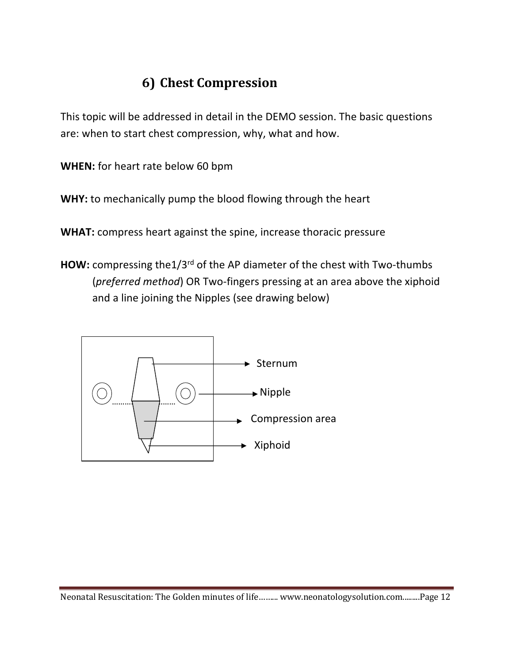### **6) Chest Compression**

This topic will be addressed in detail in the DEMO session. The basic questions are: when to start chest compression, why, what and how.

**WHEN:** for heart rate below 60 bpm

**WHY:** to mechanically pump the blood flowing through the heart

**WHAT:** compress heart against the spine, increase thoracic pressure

**HOW:** compressing the1/3<sup>rd</sup> of the AP diameter of the chest with Two-thumbs (*preferred method*) OR Two-fingers pressing at an area above the xiphoid and a line joining the Nipples (see drawing below)

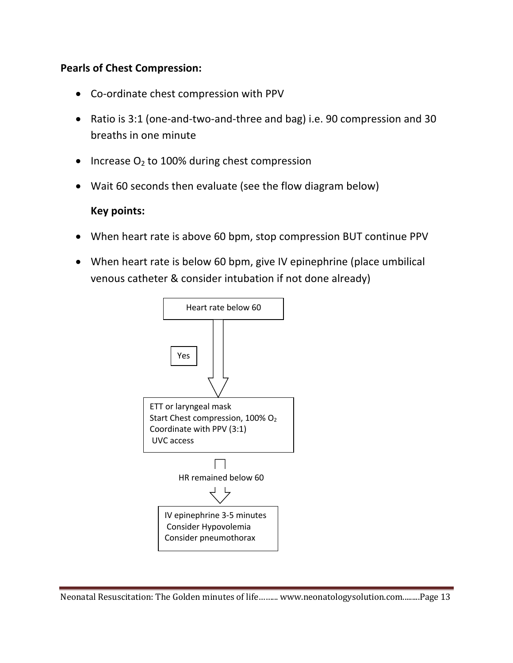#### **Pearls of Chest Compression:**

- Co-ordinate chest compression with PPV
- Ratio is 3:1 (one-and-two-and-three and bag) i.e. 90 compression and 30 breaths in one minute
- Increase  $O<sub>2</sub>$  to 100% during chest compression
- Wait 60 seconds then evaluate (see the flow diagram below)

#### **Key points:**

- When heart rate is above 60 bpm, stop compression BUT continue PPV
- When heart rate is below 60 bpm, give IV epinephrine (place umbilical venous catheter & consider intubation if not done already)

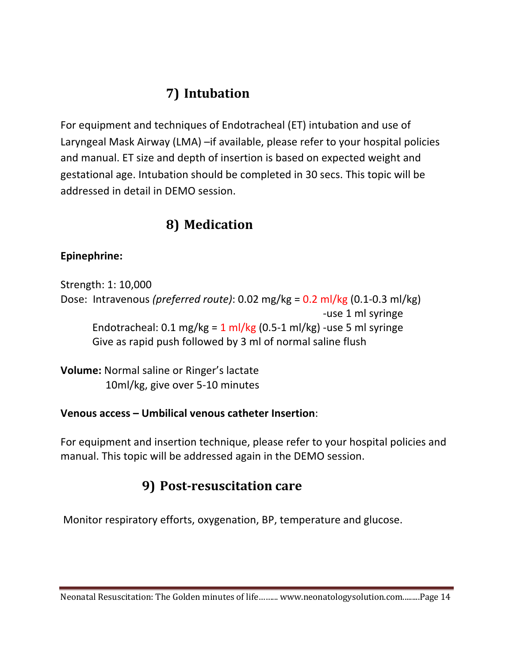### **7) Intubation**

For equipment and techniques of Endotracheal (ET) intubation and use of Laryngeal Mask Airway (LMA) –if available, please refer to your hospital policies and manual. ET size and depth of insertion is based on expected weight and gestational age. Intubation should be completed in 30 secs. This topic will be addressed in detail in DEMO session.

#### **8) Medication**

#### **Epinephrine:**

Strength: 1: 10,000 Dose: Intravenous *(preferred route)*: 0.02 mg/kg = 0.2 ml/kg (0.1-0.3 ml/kg) -use 1 ml syringe Endotracheal:  $0.1 \text{ mg/kg} = 1 \text{ ml/kg} (0.5-1 \text{ ml/kg})$  -use 5 ml syringe Give as rapid push followed by 3 ml of normal saline flush

**Volume:** Normal saline or Ringer's lactate 10ml/kg, give over 5-10 minutes

#### **Venous access – Umbilical venous catheter Insertion**:

For equipment and insertion technique, please refer to your hospital policies and manual. This topic will be addressed again in the DEMO session.

#### **9) Post-resuscitation care**

Monitor respiratory efforts, oxygenation, BP, temperature and glucose.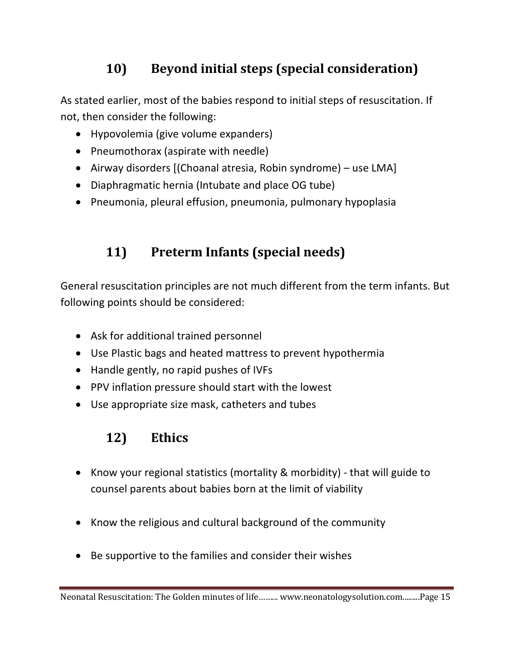### **10)** Beyond initial steps (special consideration)

As stated earlier, most of the babies respond to initial steps of resuscitation. If not, then consider the following:

- Hypovolemia (give volume expanders)
- Pneumothorax (aspirate with needle)
- Airway disorders [(Choanal atresia, Robin syndrome) use LMA]
- Diaphragmatic hernia (Intubate and place OG tube)
- Pneumonia, pleural effusion, pneumonia, pulmonary hypoplasia

### **11) Preterm Infants (special needs)**

General resuscitation principles are not much different from the term infants. But following points should be considered:

- Ask for additional trained personnel
- Use Plastic bags and heated mattress to prevent hypothermia
- Handle gently, no rapid pushes of IVFs
- PPV inflation pressure should start with the lowest
- Use appropriate size mask, catheters and tubes

### **12) Ethics**

- Know your regional statistics (mortality & morbidity) that will guide to counsel parents about babies born at the limit of viability
- Know the religious and cultural background of the community
- Be supportive to the families and consider their wishes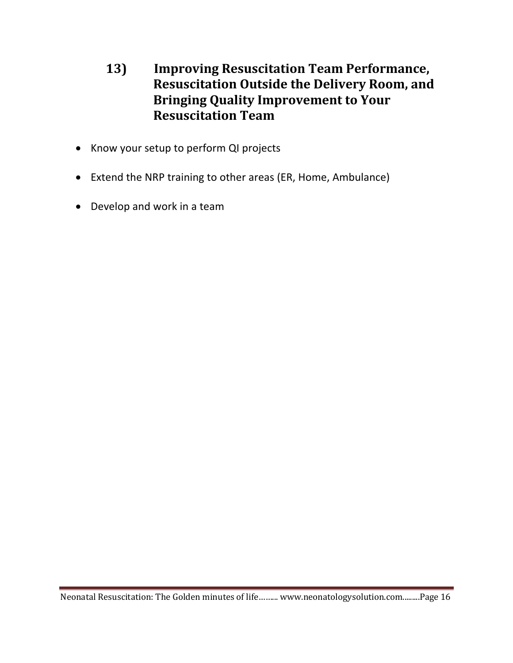#### 13) **Improving Resuscitation Team Performance, Resuscitation Outside the Delivery Room, and Bringing Quality Improvement to Your Resuscitation Team**

- Know your setup to perform QI projects
- Extend the NRP training to other areas (ER, Home, Ambulance)
- Develop and work in a team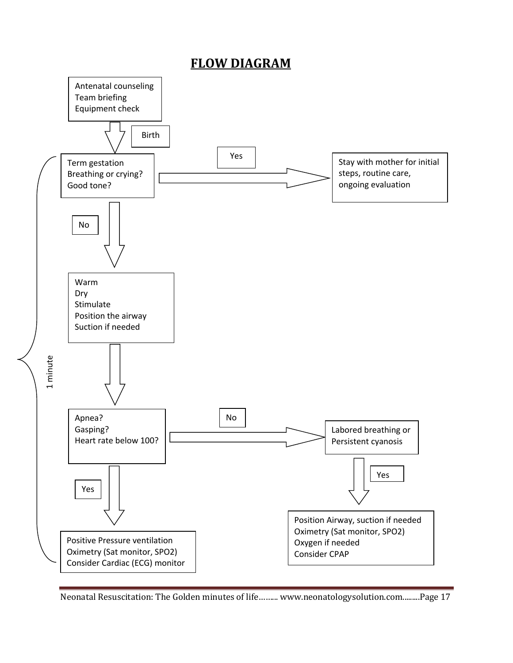#### **FLOW DIAGRAM**



Neonatal Resuscitation: The Golden minutes of life ......... www.neonatologysolution.com.........Page 17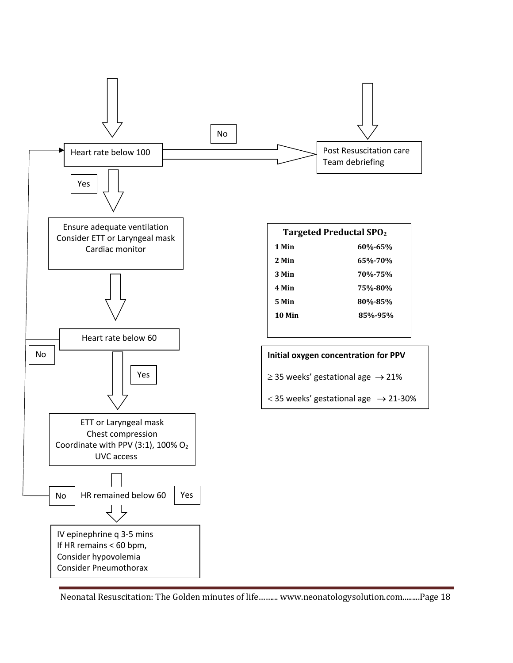

Neonatal Resuscitation: The Golden minutes of life ......... www.neonatologysolution.com.........Page 18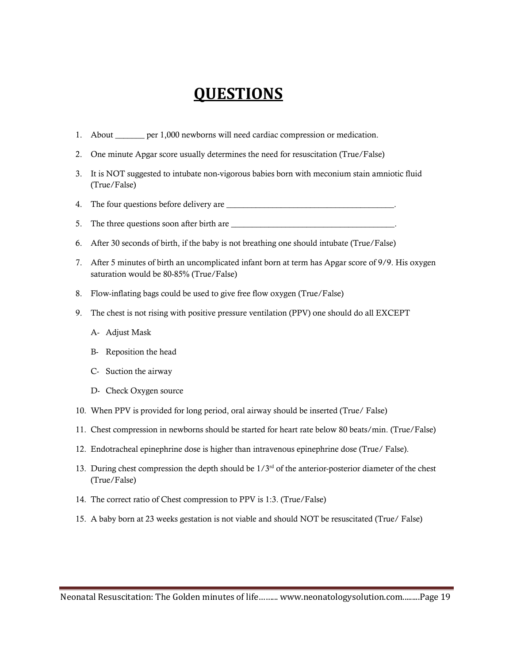### **QUESTIONS**

- 1. About per 1,000 newborns will need cardiac compression or medication.
- 2. One minute Apgar score usually determines the need for resuscitation (True/False)
- 3. It is NOT suggested to intubate non-vigorous babies born with meconium stain amniotic fluid (True/False)
- 4. The four questions before delivery are  $\equiv$
- 5. The three questions soon after birth are \_\_\_\_\_\_\_\_\_\_\_\_\_\_\_\_\_\_\_\_\_\_\_\_\_\_\_\_\_\_\_\_\_\_\_\_\_\_\_.
- 6. After 30 seconds of birth, if the baby is not breathing one should intubate (True/False)
- 7. After 5 minutes of birth an uncomplicated infant born at term has Apgar score of 9/9. His oxygen saturation would be 80-85% (True/False)
- 8. Flow-inflating bags could be used to give free flow oxygen (True/False)
- 9. The chest is not rising with positive pressure ventilation (PPV) one should do all EXCEPT
	- A- Adjust Mask
	- B- Reposition the head
	- C- Suction the airway
	- D- Check Oxygen source
- 10. When PPV is provided for long period, oral airway should be inserted (True/ False)
- 11. Chest compression in newborns should be started for heart rate below 80 beats/min. (True/False)
- 12. Endotracheal epinephrine dose is higher than intravenous epinephrine dose (True/ False).
- 13. During chest compression the depth should be  $1/3<sup>rd</sup>$  of the anterior-posterior diameter of the chest (True/False)
- 14. The correct ratio of Chest compression to PPV is 1:3. (True/False)
- 15. A baby born at 23 weeks gestation is not viable and should NOT be resuscitated (True/ False)